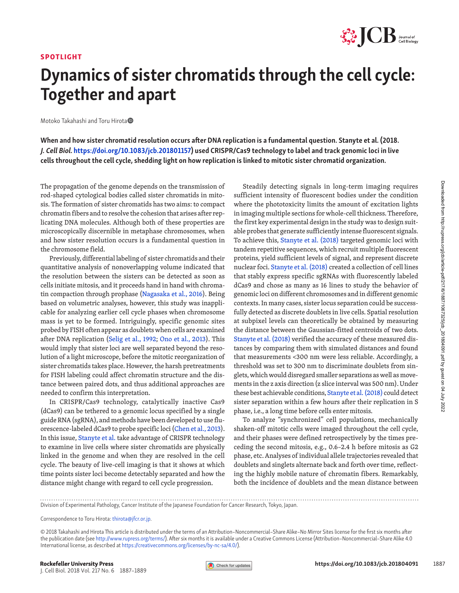#### SPOTLIGHT



## Dynamics of sister chromatids through the cell cycle: Together and apart

Motoko Takahashi and Toru Hirota

When and how sister chromatid resolution occurs after DNA replication is a fundamental question. Stanyte et al. (2018. J. Cell Biol. [https://doi.org/10.1083/jcb.201801157\)](https://doi.org/10.1083/jcb.201801157) used CRISPR/Cas9 technology to label and track genomic loci in live cells throughout the cell cycle, shedding light on how replication is linked to mitotic sister chromatid organization.

rod-shaped cytological bodies called sister chromatids in mitosis. The formation of sister chromatids has two aims: to compact chromatin fibers and to resolve the cohesion that arises after replicating DNA molecules. Although both of these properties are microscopically discernible in metaphase chromosomes, when and how sister resolution occurs is a fundamental question in the chromosome field.

The propagation of the genome depends on the transmission of the codding the scheches and to respect theres in the contending DNA molecules. Although both of these properties are increased in the lictaing DNA molecules. A Previously, differential labeling of sister chromatids and their quantitative analysis of nonoverlapping volume indicated that the resolution between the sisters can be detected as soon as cells initiate mitosis, and it proceeds hand in hand with chromatin compaction through prophase ([Nagasaka et al., 2016](#page-1-0)). Being based on volumetric analyses, however, this study was inapplicable for analyzing earlier cell cycle phases when chromosome mass is yet to be formed. Intriguingly, specific genomic sites probed by FISH often appear as doublets when cells are examined after DNA replication ([Selig et al., 1992](#page-2-0); [Ono et al., 2013](#page-2-1)). This would imply that sister loci are well separated beyond the resolution of a light microscope, before the mitotic reorganization of sister chromatids takes place. However, the harsh pretreatments for FISH labeling could affect chromatin structure and the distance between paired dots, and thus additional approaches are needed to confirm this interpretation.

In CRISPR/Cas9 technology, catalytically inactive Cas9 (dCas9) can be tethered to a genomic locus specified by a single guide RNA (sgRNA), and methods have been developed to use fluorescence-labeled dCas9 to probe specific loci ([Chen et al., 2013](#page-1-1)). In this issue, [Stanyte et al.](https://doi.org/10.1083/jcb.201801157) take advantage of CRISPR technology to examine in live cells where sister chromatids are physically linked in the genome and when they are resolved in the cell cycle. The beauty of live-cell imaging is that it shows at which time points sister loci become detectably separated and how the distance might change with regard to cell cycle progression.

Steadily detecting signals in long-term imaging requires sufficient intensity of fluorescent bodies under the condition where the phototoxicity limits the amount of excitation lights in imaging multiple sections for whole-cell thickness. Therefore, the first key experimental design in the study was to design suitable probes that generate sufficiently intense fluorescent signals. To achieve this, [Stanyte et al. \(2018\)](#page-2-2) targeted genomic loci with tandem repetitive sequences, which recruit multiple fluorescent proteins, yield sufficient levels of signal, and represent discrete nuclear foci. [Stanyte et al. \(2018\)](#page-2-2) created a collection of cell lines that stably express specific sgRNAs with fluorescently labeled dCas9 and chose as many as 16 lines to study the behavior of genomic loci on different chromosomes and in different genomic contexts. In many cases, sister locus separation could be successfully detected as discrete doublets in live cells. Spatial resolution at subpixel levels can theoretically be obtained by measuring the distance between the Gaussian-fitted centroids of two dots. [Stanyte et al. \(2018\)](#page-2-2) verified the accuracy of these measured distances by comparing them with simulated distances and found that measurements <300 nm were less reliable. Accordingly, a threshold was set to 300 nm to discriminate doublets from singlets, which would disregard smaller separations as well as movements in the z axis direction (z slice interval was 500 nm). Under these best achievable conditions, [Stanyte et al. \(2018\)](#page-2-2) could detect sister separation within a few hours after their replication in S phase, i.e., a long time before cells enter mitosis.

To analyze "synchronized" cell populations, mechanically shaken-off mitotic cells were imaged throughout the cell cycle, and their phases were defined retrospectively by the times preceding the second mitosis, e.g., 0.6–2.4 h before mitosis as G2 phase, etc. Analyses of individual allele trajectories revealed that doublets and singlets alternate back and forth over time, reflecting the highly mobile nature of chromatin fibers. Remarkably, both the incidence of doublets and the mean distance between

Division of Experimental Pathology, Cancer Institute of the Japanese Foundation for Cancer Research, Tokyo, Japan.

Correspondence to Toru Hirota: [thirota@jfcr.or.jp.](mailto:)

© 2018 Takahashi and Hirota This article is distributed under the terms of an Attribution–Noncommercial–Share Alike–No Mirror Sites license for the first six months after the publication date (see <http://www.rupress.org/terms/>). After six months it is available under a Creative Commons License (Attribution–Noncommercial–Share Alike 4.0 International license, as described at [https://creativecommons.org/licenses/by-nc-sa/4.0/\)](https://creativecommons.org/licenses/by-nc-sa/4.0/).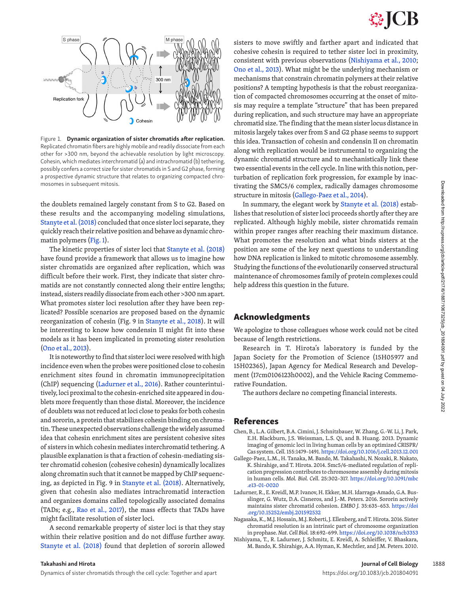# **SSICB**



<span id="page-1-2"></span>Figure 1. Dynamic organization of sister chromatids after replication. Replicated chromatin fibers are highly mobile and readily dissociate from each other for >300 nm, beyond the achievable resolution by light microscopy. Cohesin, which mediates interchromatid (a) and intrachromatid (b) tethering, possibly confers a correct size for sister chromatids in S and G2 phase, forming a prospective dynamic structure that relates to organizing compacted chromosomes in subsequent mitosis.

the doublets remained largely constant from S to G2. Based on these results and the accompanying modeling simulations, [Stanyte et al. \(2018\)](#page-2-2) concluded that once sister loci separate, they quickly reach their relative position and behave as dynamic chromatin polymers ([Fig. 1](#page-1-2)).

The kinetic properties of sister loci that [Stanyte et al. \(2018\)](#page-2-2) have found provide a framework that allows us to imagine how sister chromatids are organized after replication, which was difficult before their work. First, they indicate that sister chromatids are not constantly connected along their entire lengths; instead, sisters readily dissociate from each other >300 nm apart. What promotes sister loci resolution after they have been replicated? Possible scenarios are proposed based on the dynamic reorganization of cohesin (Fig. 9 in [Stanyte et al., 2018](#page-2-2)). It will be interesting to know how condensin II might fit into these models as it has been implicated in promoting sister resolution [\(Ono et al., 2013\)](#page-2-1).

It is noteworthy to find that sister loci were resolved with high incidence even when the probes were positioned close to cohesin enrichment sites found in chromatin immunoprecipitation (ChIP) sequencing [\(Ladurner et al., 2016](#page-1-3)). Rather counterintuitively, loci proximal to the cohesin-enriched site appeared in doublets more frequently than those distal. Moreover, the incidence of doublets was not reduced at loci close to peaks for both cohesin and sororin, a protein that stabilizes cohesin binding on chromatin. These unexpected observations challenge the widely assumed idea that cohesin enrichment sites are persistent cohesive sites of sisters in which cohesin mediates interchromatid tethering. A plausible explanation is that a fraction of cohesin-mediating sister chromatid cohesion (cohesive cohesin) dynamically localizes along chromatin such that it cannot be mapped by ChIP sequencing, as depicted in Fig. 9 in [Stanyte et al. \(2018\)](#page-2-2). Alternatively, given that cohesin also mediates intrachromatid interaction and organizes domains called topologically associated domains (TADs; e.g., [Rao et al., 2017\)](#page-2-3), the mass effects that TADs have might facilitate resolution of sister loci.

A second remarkable property of sister loci is that they stay within their relative position and do not diffuse further away. [Stanyte et al. \(2018\)](#page-2-2) found that depletion of sororin allowed sisters to move swiftly and farther apart and indicated that cohesive cohesin is required to tether sister loci in proximity, consistent with previous observations ([Nishiyama et al., 2010;](#page-1-4) [Ono et al., 2013](#page-2-1)). What might be the underlying mechanism or mechanisms that constrain chromatin polymers at their relative positions? A tempting hypothesis is that the robust reorganization of compacted chromosomes occurring at the onset of mitosis may require a template "structure" that has been prepared during replication, and such structure may have an appropriate chromatid size. The finding that the mean sister locus distance in mitosis largely takes over from S and G2 phase seems to support this idea. Transaction of cohesin and condensin II on chromatin along with replication would be instrumental to organizing the dynamic chromatid structure and to mechanistically link these two essential events in the cell cycle. In line with this notion, perturbation of replication fork progression, for example by inactivating the SMC5/6 complex, radically damages chromosome structure in mitosis [\(Gallego-Paez et al., 2014](#page-1-5)).

In summary, the elegant work by [Stanyte et al. \(2018\)](#page-2-2) establishes that resolution of sister loci proceeds shortly after they are replicated. Although highly mobile, sister chromatids remain within proper ranges after reaching their maximum distance. What promotes the resolution and what binds sisters at the position are some of the key next questions to understanding how DNA replication is linked to mitotic chromosome assembly. Studying the functions of the evolutionarily conserved structural maintenance of chromosomes family of protein complexes could help address this question in the future.

### Acknowledgments

We apologize to those colleagues whose work could not be cited because of length restrictions.

Research in T. Hirota's laboratory is funded by the Japan Society for the Promotion of Science (15H05977 and 15H02365), Japan Agency for Medical Research and Development (17cm0106123h0002), and the Vehicle Racing Commemorative Foundation.

The authors declare no competing financial interests.

### References

- <span id="page-1-1"></span>Chen, B., L.A. Gilbert, B.A. Cimini, J. Schnitzbauer, W. Zhang, G.-W. Li, J. Park, E.H. Blackburn, J.S. Weissman, L.S. Qi, and B. Huang. 2013. Dynamic imaging of genomic loci in living human cells by an optimized CRISPR/ Cas system. *Cell.* 155:1479–1491. <https://doi.org/10.1016/j.cell.2013.12.001>
- <span id="page-1-5"></span>Gallego-Paez, L.M., H. Tanaka, M. Bando, M. Takahashi, N. Nozaki, R. Nakato, K. Shirahige, and T. Hirota. 2014. Smc5/6-mediated regulation of replication progression contributes to chromosome assembly during mitosis in human cells. *Mol. Biol. Cell.* 25:302–317. [https://doi.org/10.1091/mbc](https://doi.org/10.1091/mbc.e13-01-0020) [.e13-01-0020](https://doi.org/10.1091/mbc.e13-01-0020)
- <span id="page-1-3"></span>Ladurner, R., E. Kreidl, M.P. Ivanov, H. Ekker, M.H. Idarraga-Amado, G.A. Busslinger, G. Wutz, D.A. Cisneros, and J.-M. Peters. 2016. Sororin actively maintains sister chromatid cohesion. *EMBO J.* 35:635–653. [https://doi](https://doi.org/10.15252/embj.201592532) [.org/10.15252/embj.201592532](https://doi.org/10.15252/embj.201592532)
- <span id="page-1-0"></span>Nagasaka, K., M.J. Hossain, M.J. Roberti, J. Ellenberg, and T. Hirota. 2016. Sister chromatid resolution is an intrinsic part of chromosome organization in prophase. *Nat. Cell Biol.* 18:692–699.<https://doi.org/10.1038/ncb3353>
- <span id="page-1-4"></span>Nishiyama, T., R. Ladurner, J. Schmitz, E. Kreidl, A. Schleiffer, V. Bhaskara, M. Bando, K. Shirahige, A.A. Hyman, K. Mechtler, and J.M. Peters. 2010.